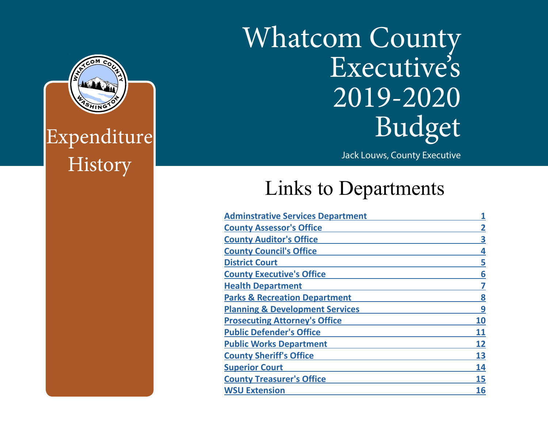# Whatcom County Executive's 2019-2020 Budget

Jack Louws, County Executive

## Links to Departments

| <b>Adminstrative Services Department</b>   |                |
|--------------------------------------------|----------------|
| <b>County Assessor's Office</b>            | $\overline{2}$ |
| <b>County Auditor's Office</b>             | 3              |
| <b>County Council's Office</b>             | 4              |
| <b>District Court</b>                      | 5              |
| <b>County Executive's Office</b>           | 6              |
| <b>Health Department</b>                   | 7              |
| <b>Parks &amp; Recreation Department</b>   | 8              |
| <b>Planning &amp; Development Services</b> | 9              |
| <b>Prosecuting Attorney's Office</b>       | 10             |
| <b>Public Defender's Office</b>            | 11             |
| <b>Public Works Department</b>             | 12             |
| <b>County Sheriff's Office</b>             | 13             |
| <b>Superior Court</b>                      | 14             |
| <b>County Treasurer's Office</b>           | 15             |
| <b>WSU Extension</b>                       | 16             |



This Report Prepared and Published by the Whatcom County Administrative Services Department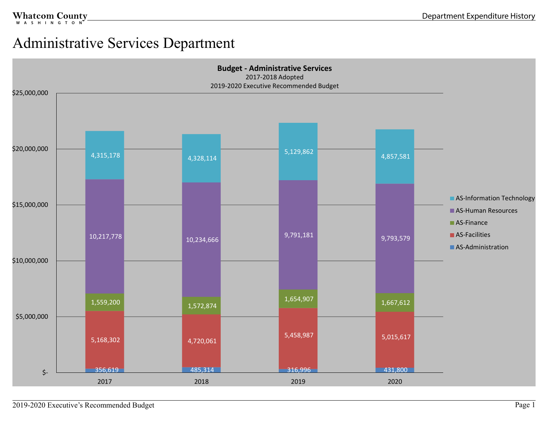#### <span id="page-1-0"></span>Administrative Services Department

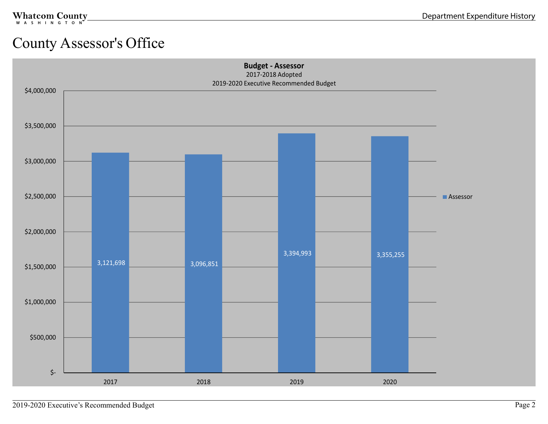## <span id="page-2-0"></span>County Assessor's Office

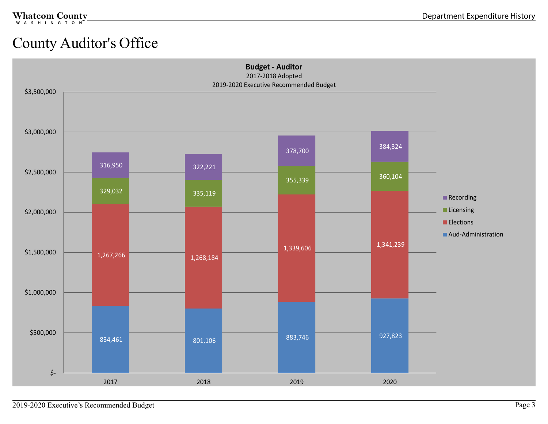#### <span id="page-3-0"></span>County Auditor's Office

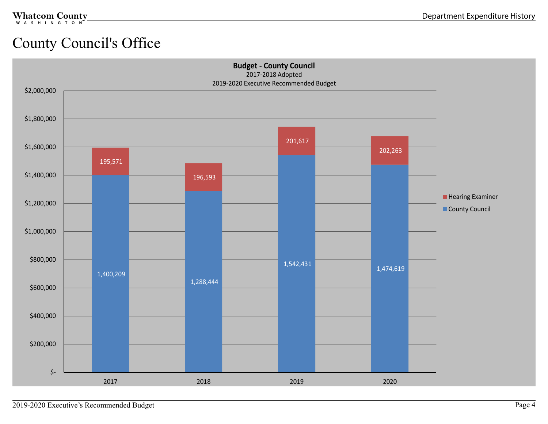## <span id="page-4-0"></span>County Council's Office

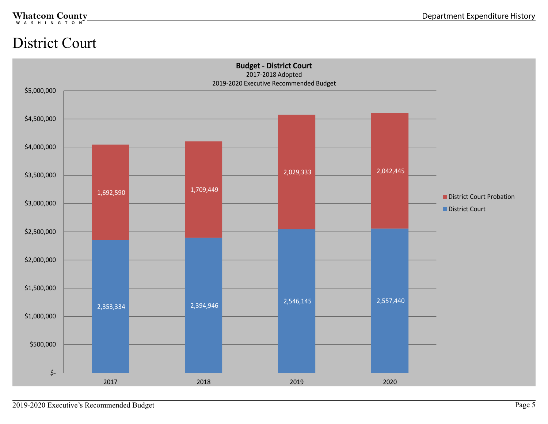#### <span id="page-5-0"></span>District Court

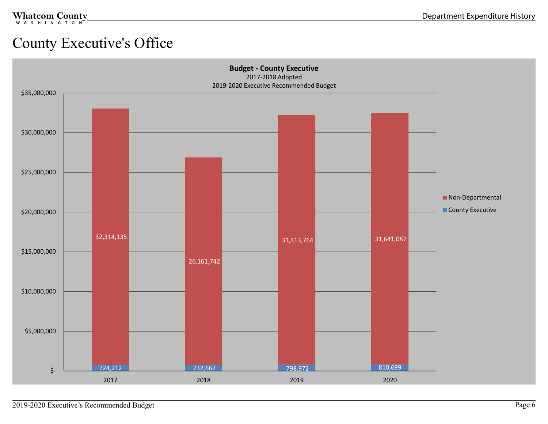#### <span id="page-6-0"></span>County Executive's Office

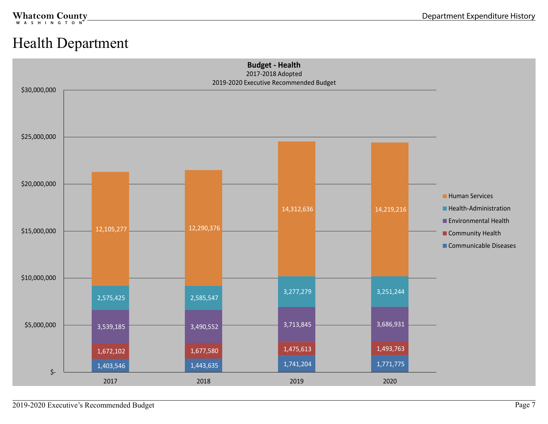#### <span id="page-7-0"></span>Health Department

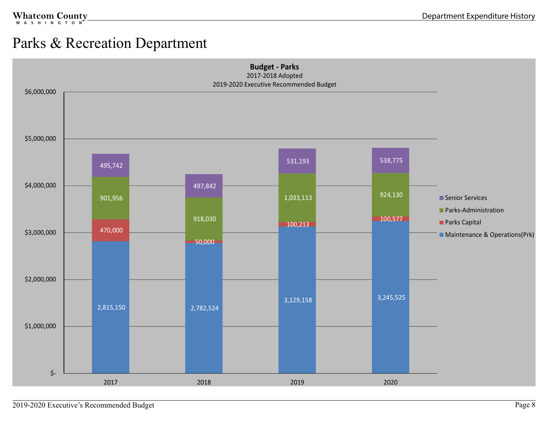#### <span id="page-8-0"></span>Parks & Recreation Department

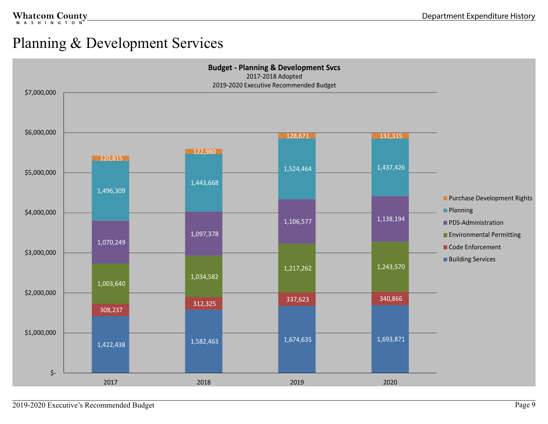#### <span id="page-9-0"></span>Planning & Development Services

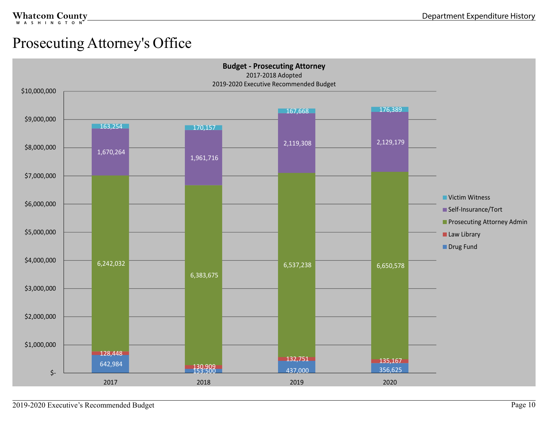#### <span id="page-10-0"></span>Prosecuting Attorney's Office

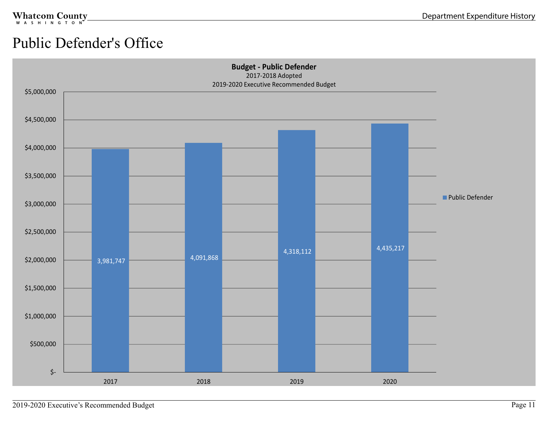## <span id="page-11-0"></span>Public Defender's Office

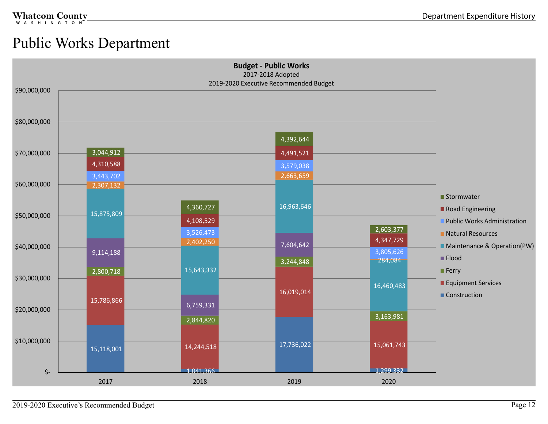#### <span id="page-12-0"></span>Public Works Department

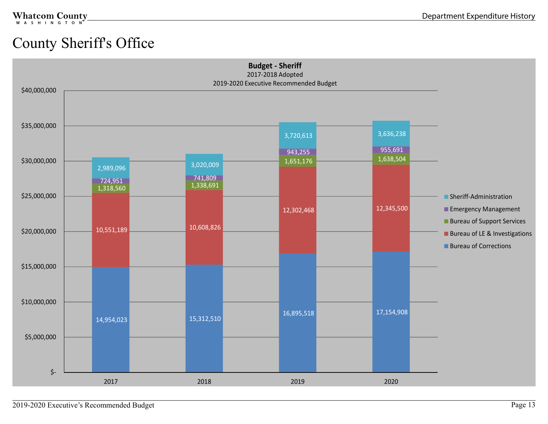## <span id="page-13-0"></span>County Sheriff's Office

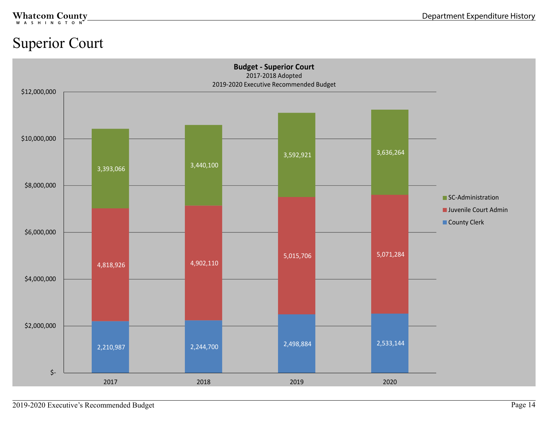#### <span id="page-14-0"></span>Superior Court

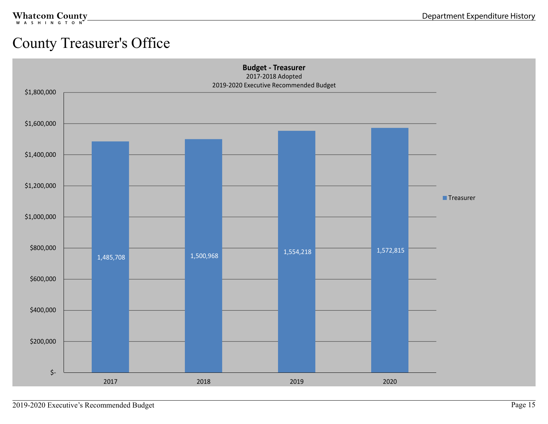#### <span id="page-15-0"></span>County Treasurer's Office